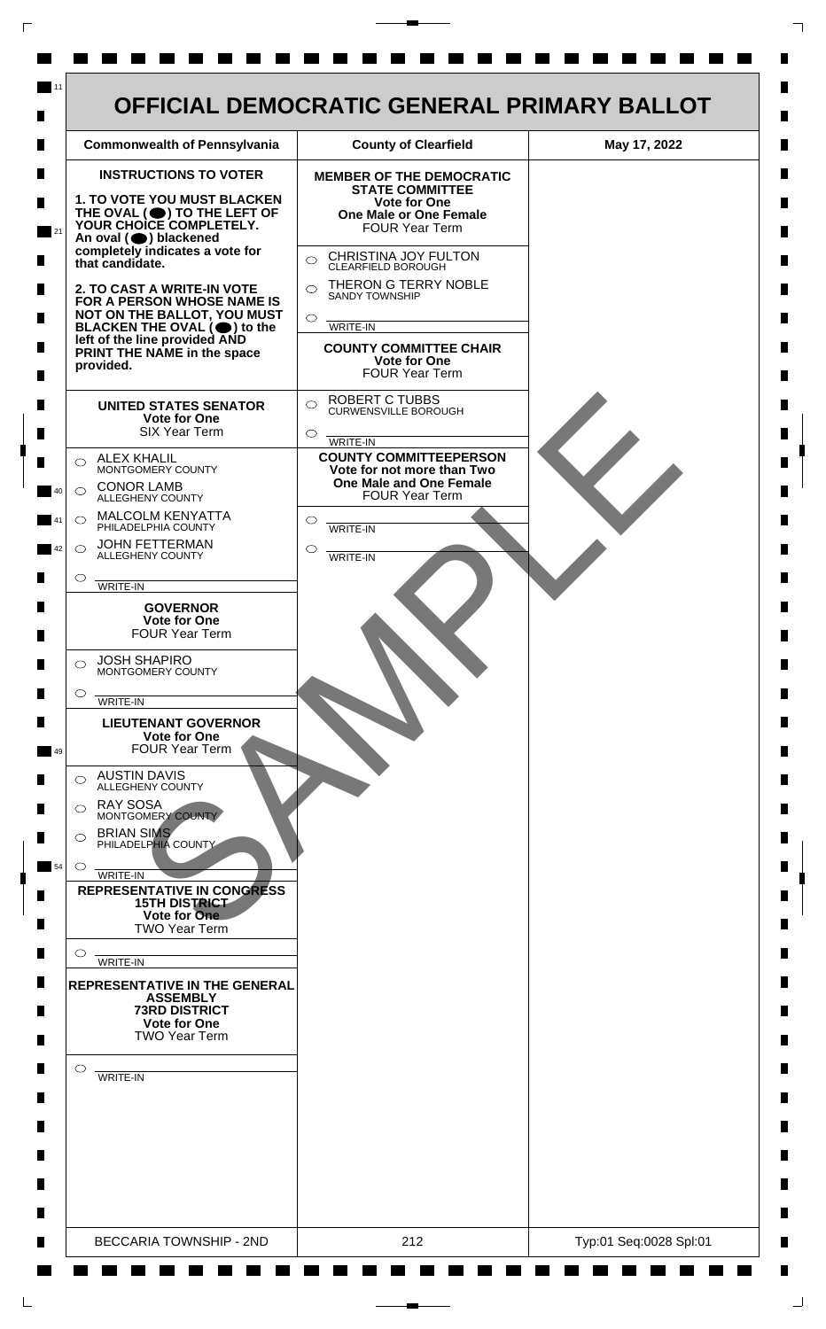

 $\mathsf{L}$ 

 $\Box$